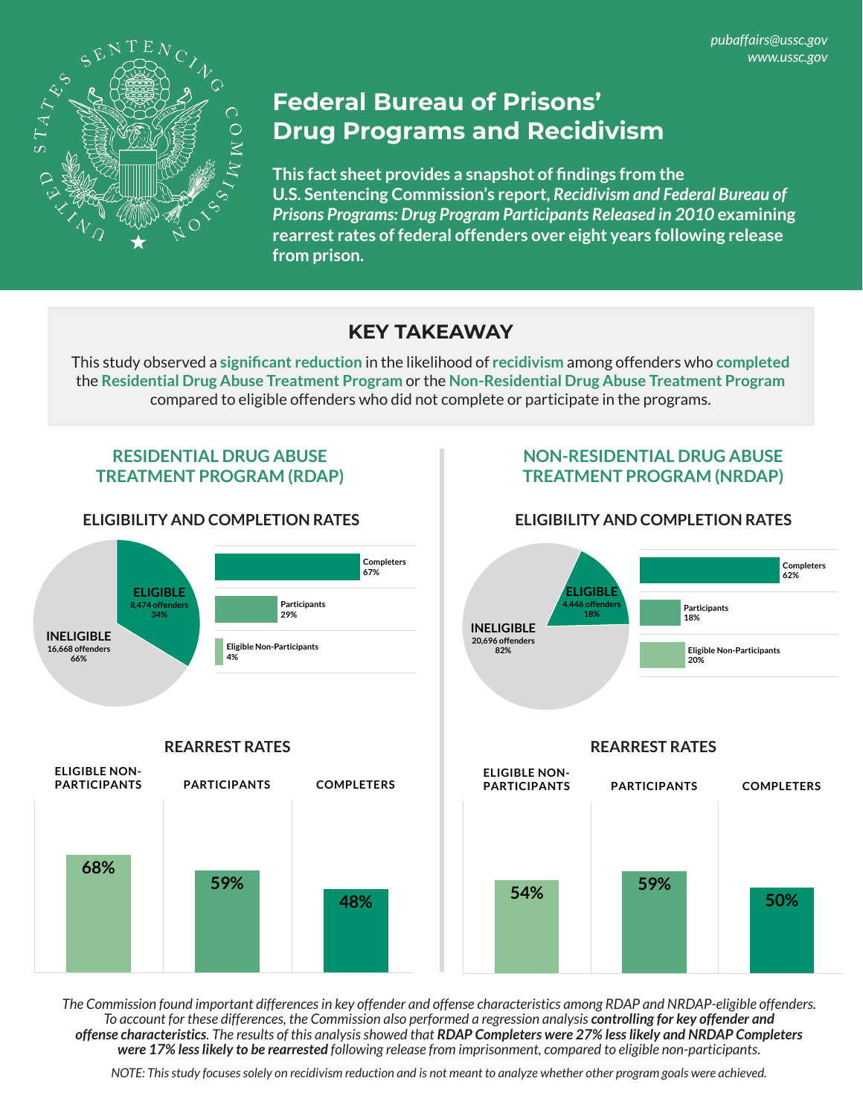*pubaffairs@ussc.gov www.ussc.gov*



# **Federal Bureau of Prisons' Drug Programs and Recidivism**

**This fact sheet provides a snapshot of findings from the U.S. Sentencing Commission's report,** *Recidivism and Federal Bureau of Prisons Programs: Drug Program Participants Released in 2010* **examining rearrest rates of federal offenders over eight years following release from prison.** 

### **KEY TAKEAWAY**

This study observed a **significant reduction** in the likelihood of **recidivism** among offenders who **completed** the **Residential Drug Abuse Treatment Program** or the **Non-Residential Drug Abuse Treatment Program** compared to eligible offenders who did not complete or participate in the programs.

#### **RESIDENTIAL DRUG ABUSE TREATMENT PROGRAM (RDAP)**



**PARTICIPANTS COMPLETERS**

**59%**

**68%**

**ELIGIBLE NON-PARTICIPANTS**

# **NON-RESIDENTIAL DRUG ABUSE TREATMENT PROGRAM (NRDAP)**

#### **ELIGIBILITY AND COMPLETION RATES ELIGIBILITY AND COMPLETION RATES**



*The Commission found important differences in key offender and offense characteristics among RDAP and NRDAP-eligible offenders.*  To account for these differences, the Commission also performed a regression analysis **controlling for key offender and** *offense characteristics. The results of this analysis showed that RDAP Completers were 27% less likely and NRDAP Completers were 17% less likely to be rearrested following release from imprisonment, compared to eligible non-participants.*

**48%**

*NOTE: This study focuses solely on recidivism reduction and is not meant to analyze whether other program goals were achieved.*